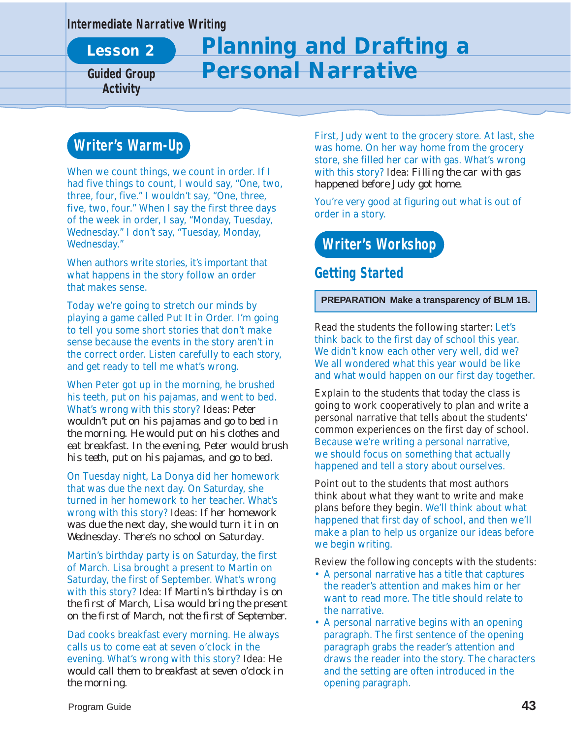#### **Intermediate Narrative Writing**

**Lesson 2**

**Activity**

# **Planning and Drafting a Guided Group Personal Narrative**

## **Writer's Warm-Up**

When we count things, we count in order. If I had five things to count, I would say, "One, two, three, four, five." I wouldn't say, "One, three, five, two, four." When I say the first three days of the week in order, I say, "Monday, Tuesday, Wednesday." I don't say, "Tuesday, Monday, Wednesday."

When authors write stories, it's important that what happens in the story follow an order that makes sense.

Today we're going to stretch our minds by playing a game called Put It in Order. I'm going to tell you some short stories that don't make sense because the events in the story aren't in the correct order. Listen carefully to each story, and get ready to tell me what's wrong.

When Peter got up in the morning, he brushed his teeth, put on his pajamas, and went to bed. What's wrong with this story? Ideas: *Peter wouldn't put on his pajamas and go to bed in the morning. He would put on his clothes and eat breakfast. In the evening, Peter would brush his teeth, put on his pajamas, and go to bed.*

On Tuesday night, La Donya did her homework that was due the next day. On Saturday, she turned in her homework to her teacher. What's wrong with this story? Ideas: *If her homework was due the next day, she would turn it in on Wednesday. There's no school on Saturday.*

Martin's birthday party is on Saturday, the first of March. Lisa brought a present to Martin on Saturday, the first of September. What's wrong with this story? Idea: *If Martin's birthday is on the first of March, Lisa would bring the present on the first of March, not the first of September.*

Dad cooks breakfast every morning. He always calls us to come eat at seven o'clock in the evening. What's wrong with this story? Idea: *He would call them to breakfast at seven o'clock in the morning.*

First, Judy went to the grocery store. At last, she was home. On her way home from the grocery store, she filled her car with gas. What's wrong with this story? Idea: *Filling the car with gas happened before Judy got home.*

You're very good at figuring out what is out of order in a story.

## **Writer's Workshop**

### **Getting Started**

**PREPARATION Make a transparency of BLM 1B.**

Read the students the following starter: Let's think back to the first day of school this year. We didn't know each other very well, did we? We all wondered what this year would be like and what would happen on our first day together.

Explain to the students that today the class is going to work cooperatively to plan and write a personal narrative that tells about the students' common experiences on the first day of school. Because we're writing a personal narrative, we should focus on something that actually happened and tell a story about ourselves.

Point out to the students that most authors think about what they want to write and make plans before they begin. We'll think about what happened that first day of school, and then we'll make a plan to help us organize our ideas before we begin writing.

Review the following concepts with the students:

- A personal narrative has a title that captures the reader's attention and makes him or her want to read more. The title should relate to the narrative.
- A personal narrative begins with an opening paragraph. The first sentence of the opening paragraph grabs the reader's attention and draws the reader into the story. The characters and the setting are often introduced in the opening paragraph.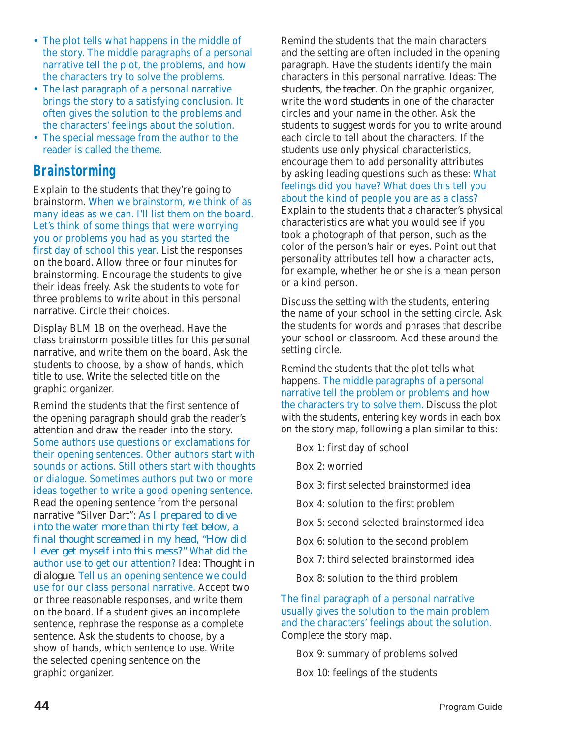- The plot tells what happens in the middle of the story. The middle paragraphs of a personal narrative tell the plot, the problems, and how the characters try to solve the problems.
- The last paragraph of a personal narrative brings the story to a satisfying conclusion. It often gives the solution to the problems and the characters' feelings about the solution.
- The special message from the author to the reader is called the theme.

## **Brainstorming**

Explain to the students that they're going to brainstorm. When we brainstorm, we think of as many ideas as we can. I'll list them on the board. Let's think of some things that were worrying you or problems you had as you started the first day of school this year. List the responses on the board. Allow three or four minutes for brainstorming. Encourage the students to give their ideas freely. Ask the students to vote for three problems to write about in this personal narrative. Circle their choices.

Display BLM 1B on the overhead. Have the class brainstorm possible titles for this personal narrative, and write them on the board. Ask the students to choose, by a show of hands, which title to use. Write the selected title on the graphic organizer.

Remind the students that the first sentence of the opening paragraph should grab the reader's attention and draw the reader into the story. Some authors use questions or exclamations for their opening sentences. Other authors start with sounds or actions. Still others start with thoughts or dialogue. Sometimes authors put two or more ideas together to write a good opening sentence. Read the opening sentence from the personal narrative "Silver Dart": *As I prepared to dive into the water more than thirty feet below, a final thought screamed in my head, "How did I ever get myself into this mess?"* What did the author use to get our attention? Idea: *Thought in dialogue.* Tell us an opening sentence we could use for our class personal narrative. Accept two or three reasonable responses, and write them on the board. If a student gives an incomplete sentence, rephrase the response as a complete sentence. Ask the students to choose, by a show of hands, which sentence to use. Write the selected opening sentence on the graphic organizer.

Remind the students that the main characters and the setting are often included in the opening paragraph. Have the students identify the main characters in this personal narrative. Ideas: *The students, the teacher.* On the graphic organizer, write the word *students* in one of the character circles and your name in the other. Ask the students to suggest words for you to write around each circle to tell about the characters. If the students use only physical characteristics, encourage them to add personality attributes by asking leading questions such as these: What feelings did you have? What does this tell you about the kind of people you are as a class? Explain to the students that a character's physical characteristics are what you would see if you took a photograph of that person, such as the color of the person's hair or eyes. Point out that personality attributes tell how a character acts, for example, whether he or she is a mean person or a kind person.

Discuss the setting with the students, entering the name of your school in the setting circle. Ask the students for words and phrases that describe your school or classroom. Add these around the setting circle.

Remind the students that the plot tells what happens. The middle paragraphs of a personal narrative tell the problem or problems and how the characters try to solve them. Discuss the plot with the students, entering key words in each box on the story map, following a plan similar to this:

Box 1: first day of school

Box 2: worried

Box 3: first selected brainstormed idea

Box 4: solution to the first problem

Box 5: second selected brainstormed idea

Box 6: solution to the second problem

Box 7: third selected brainstormed idea

Box 8: solution to the third problem

The final paragraph of a personal narrative usually gives the solution to the main problem and the characters' feelings about the solution. Complete the story map.

Box 9: summary of problems solved

Box 10: feelings of the students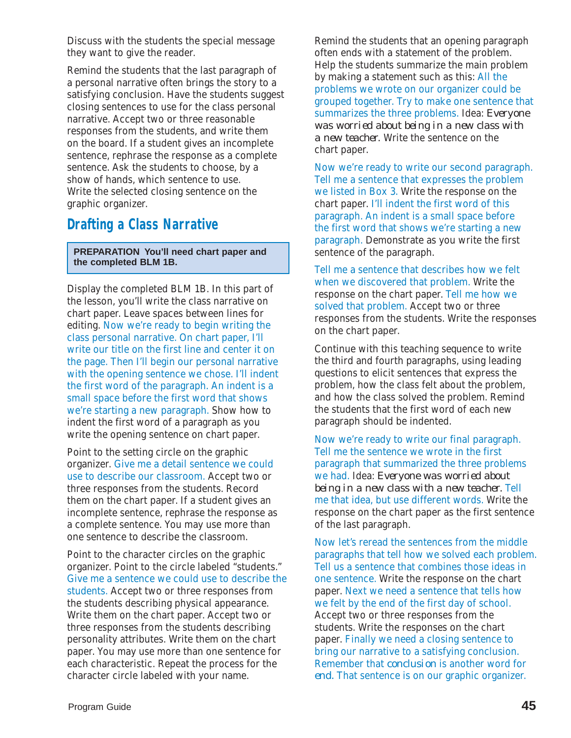Discuss with the students the special message they want to give the reader.

Remind the students that the last paragraph of a personal narrative often brings the story to a satisfying conclusion. Have the students suggest closing sentences to use for the class personal narrative. Accept two or three reasonable responses from the students, and write them on the board. If a student gives an incomplete sentence, rephrase the response as a complete sentence. Ask the students to choose, by a show of hands, which sentence to use. Write the selected closing sentence on the graphic organizer.

### **Drafting a Class Narrative**

**PREPARATION You'll need chart paper and the completed BLM 1B.**

Display the completed BLM 1B. In this part of the lesson, you'll write the class narrative on chart paper. Leave spaces between lines for editing. Now we're ready to begin writing the class personal narrative. On chart paper, I'll write our title on the first line and center it on the page. Then I'll begin our personal narrative with the opening sentence we chose. I'll indent the first word of the paragraph. An indent is a small space before the first word that shows we're starting a new paragraph. Show how to indent the first word of a paragraph as you write the opening sentence on chart paper.

Point to the setting circle on the graphic organizer. Give me a detail sentence we could use to describe our classroom. Accept two or three responses from the students. Record them on the chart paper. If a student gives an incomplete sentence, rephrase the response as a complete sentence. You may use more than one sentence to describe the classroom.

Point to the character circles on the graphic organizer. Point to the circle labeled "students." Give me a sentence we could use to describe the students. Accept two or three responses from the students describing physical appearance. Write them on the chart paper. Accept two or three responses from the students describing personality attributes. Write them on the chart paper. You may use more than one sentence for each characteristic. Repeat the process for the character circle labeled with your name.

Remind the students that an opening paragraph often ends with a statement of the problem. Help the students summarize the main problem by making a statement such as this: All the problems we wrote on our organizer could be grouped together. Try to make one sentence that summarizes the three problems. Idea: *Everyone was worried about being in a new class with a new teacher.* Write the sentence on the chart paper.

Now we're ready to write our second paragraph. Tell me a sentence that expresses the problem we listed in Box 3. Write the response on the chart paper. I'll indent the first word of this paragraph. An indent is a small space before the first word that shows we're starting a new paragraph. Demonstrate as you write the first sentence of the paragraph.

Tell me a sentence that describes how we felt when we discovered that problem. Write the response on the chart paper. Tell me how we solved that problem. Accept two or three responses from the students. Write the responses on the chart paper.

Continue with this teaching sequence to write the third and fourth paragraphs, using leading questions to elicit sentences that express the problem, how the class felt about the problem, and how the class solved the problem. Remind the students that the first word of each new paragraph should be indented.

Now we're ready to write our final paragraph. Tell me the sentence we wrote in the first paragraph that summarized the three problems we had. Idea: *Everyone was worried about being in a new class with a new teacher.* Tell me that idea, but use different words. Write the response on the chart paper as the first sentence of the last paragraph.

Now let's reread the sentences from the middle paragraphs that tell how we solved each problem. Tell us a sentence that combines those ideas in one sentence. Write the response on the chart paper. Next we need a sentence that tells how we felt by the end of the first day of school. Accept two or three responses from the students. Write the responses on the chart paper. Finally we need a closing sentence to bring our narrative to a satisfying conclusion. Remember that *conclusion* is another word for *end.* That sentence is on our graphic organizer.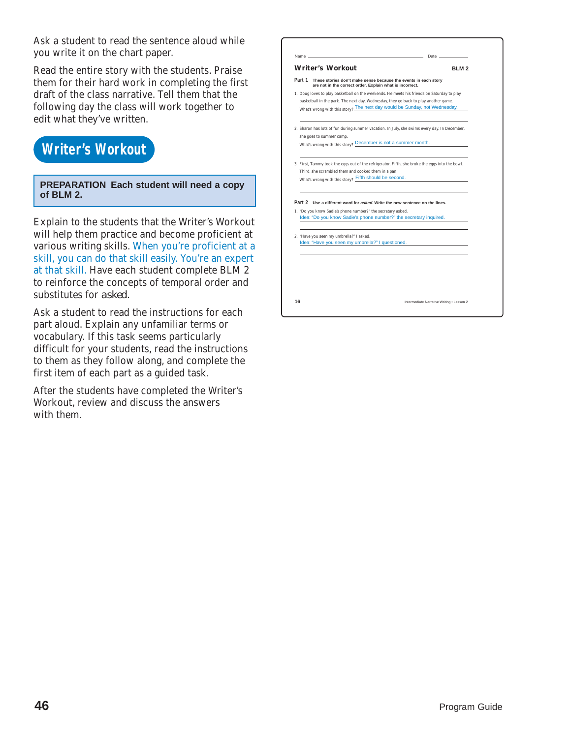Ask a student to read the sentence aloud while you write it on the chart paper.

Read the entire story with the students. Praise them for their hard work in completing the first draft of the class narrative. Tell them that the following day the class will work together to edit what they've written.

## **Writer's Workout**

**PREPARATION Each student will need a copy of BLM 2.**

Explain to the students that the Writer's Workout will help them practice and become proficient at various writing skills. When you're proficient at a skill, you can do that skill easily. You're an expert at that skill. Have each student complete BLM 2 to reinforce the concepts of temporal order and substitutes for *asked.*

Ask a student to read the instructions for each part aloud. Explain any unfamiliar terms or vocabulary. If this task seems particularly difficult for your students, read the instructions to them as they follow along, and complete the first item of each part as a guided task.

After the students have completed the Writer's Workout, review and discuss the answers with them.

|        | <b>Writer's Workout</b>                                                                                                                                                                                         | <b>BIM2</b> |
|--------|-----------------------------------------------------------------------------------------------------------------------------------------------------------------------------------------------------------------|-------------|
| Part 1 | These stories don't make sense because the events in each story<br>are not in the correct order. Explain what is incorrect.                                                                                     |             |
|        | 1. Doug loves to play basketball on the weekends. He meets his friends on Saturday to play                                                                                                                      |             |
|        | basketball in the park. The next day, Wednesday, they go back to play another game.<br>What's wrong with this story? The next day would be Sunday, not Wednesday.                                               |             |
|        | 2. Sharon has lots of fun during summer vacation. In July, she swims every day. In December,<br>she goes to summer camp.                                                                                        |             |
|        | What's wrong with this story? December is not a summer month.                                                                                                                                                   |             |
|        | 3. First, Tammy took the eggs out of the refrigerator. Fifth, she broke the eggs into the bowl.                                                                                                                 |             |
|        | Third, she scrambled them and cooked them in a pan.                                                                                                                                                             |             |
|        | What's wrong with this story? Fifth should be second.                                                                                                                                                           |             |
|        | Part 2 Use a different word for asked. Write the new sentence on the lines.<br>1. "Do you know Sadie's phone number?" the secretary asked.<br>Idea: "Do you know Sadie's phone number?" the secretary inquired. |             |
|        | 2. "Have you seen my umbrella?" I asked.<br>Idea: "Have you seen my umbrella?" I questioned.                                                                                                                    |             |
|        |                                                                                                                                                                                                                 |             |
|        |                                                                                                                                                                                                                 |             |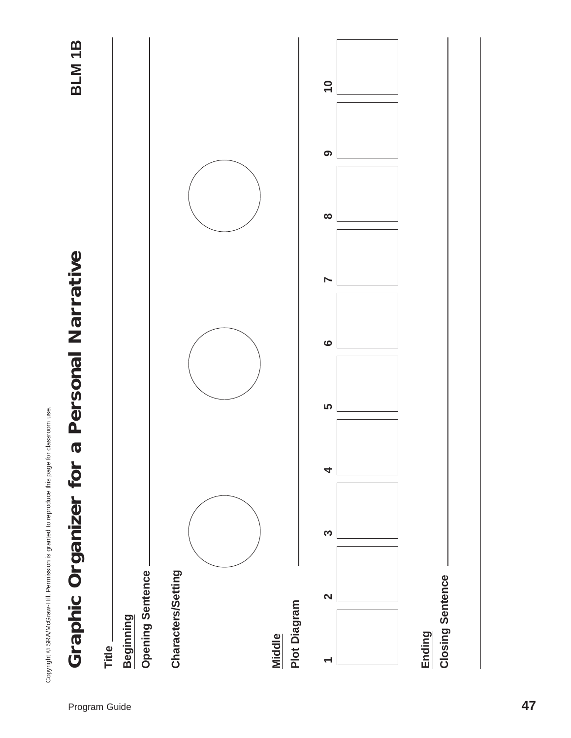Copyright © SRA/McGraw-Hill. Permission is granted to reproduce this page for classroom use. Copyright © SRA/McGraw-Hill. Permission is granted to reproduce this page for classroom use.

BLM<sub>1B</sub>